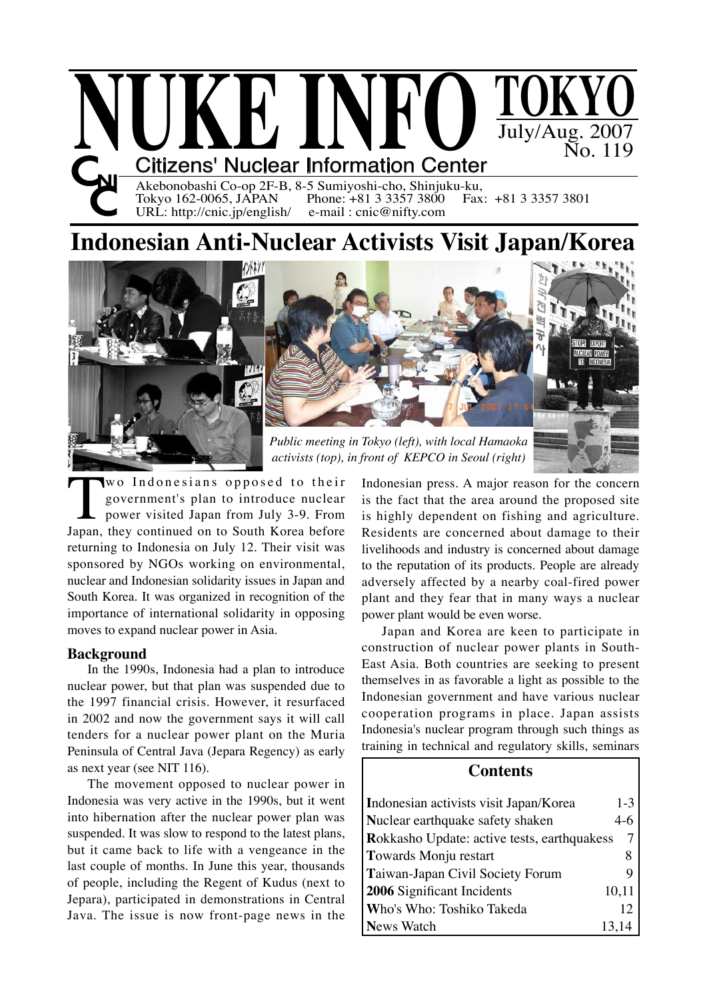

Akebonobashi Co-op 2F-B, 8-5 Sumiyoshi-cho, Shinjuku-ku,<br>Tokyo 162-0065, JAPAN Phone: +81 3 3357 3800 Fax: +81 3 3357 3801 Tokyo 162-0065, JAPAN Phone: +81 3 3357 3800<br>URL: http://cnic.jp/english/ e-mail: cnic@nifty.com URL: http://cnic.jp/english/

# **Indonesian Anti-Nuclear Activists Visit Japan/Korea**



Wo Indonesians opposed to their<br>government's plan to introduce nuclear<br>power visited Japan from July 3-9. From<br>Japan, they continued on to South Korea before government's plan to introduce nuclear power visited Japan from July 3-9. From returning to Indonesia on July 12. Their visit was sponsored by NGOs working on environmental, nuclear and Indonesian solidarity issues in Japan and South Korea. It was organized in recognition of the importance of international solidarity in opposing moves to expand nuclear power in Asia.

# **Background**

In the 1990s, Indonesia had a plan to introduce nuclear power, but that plan was suspended due to the 1997 financial crisis. However, it resurfaced in 2002 and now the government says it will call tenders for a nuclear power plant on the Muria Peninsula of Central Java (Jepara Regency) as early as next year (see NIT 116).

The movement opposed to nuclear power in Indonesia was very active in the 1990s, but it went into hibernation after the nuclear power plan was suspended. It was slow to respond to the latest plans, but it came back to life with a vengeance in the last couple of months. In June this year, thousands of people, including the Regent of Kudus (next to Jepara), participated in demonstrations in Central Java. The issue is now front-page news in the

Indonesian press. A major reason for the concern is the fact that the area around the proposed site is highly dependent on fishing and agriculture. Residents are concerned about damage to their livelihoods and industry is concerned about damage to the reputation of its products. People are already adversely affected by a nearby coal-fired power plant and they fear that in many ways a nuclear power plant would be even worse.

Japan and Korea are keen to participate in construction of nuclear power plants in South-East Asia. Both countries are seeking to present themselves in as favorable a light as possible to the Indonesian government and have various nuclear cooperation programs in place. Japan assists Indonesia's nuclear program through such things as training in technical and regulatory skills, seminars

# **Contents**

| Indonesian activists visit Japan/Korea      | $1-3$ |
|---------------------------------------------|-------|
| Nuclear earthquake safety shaken            | $4-6$ |
| Rokkasho Update: active tests, earthquakess | 7     |
| Towards Monju restart                       | 8     |
| Taiwan-Japan Civil Society Forum            | 9     |
| 2006 Significant Incidents                  | 10,11 |
| Who's Who: Toshiko Takeda                   | 12    |
| <b>News Watch</b>                           | 13,14 |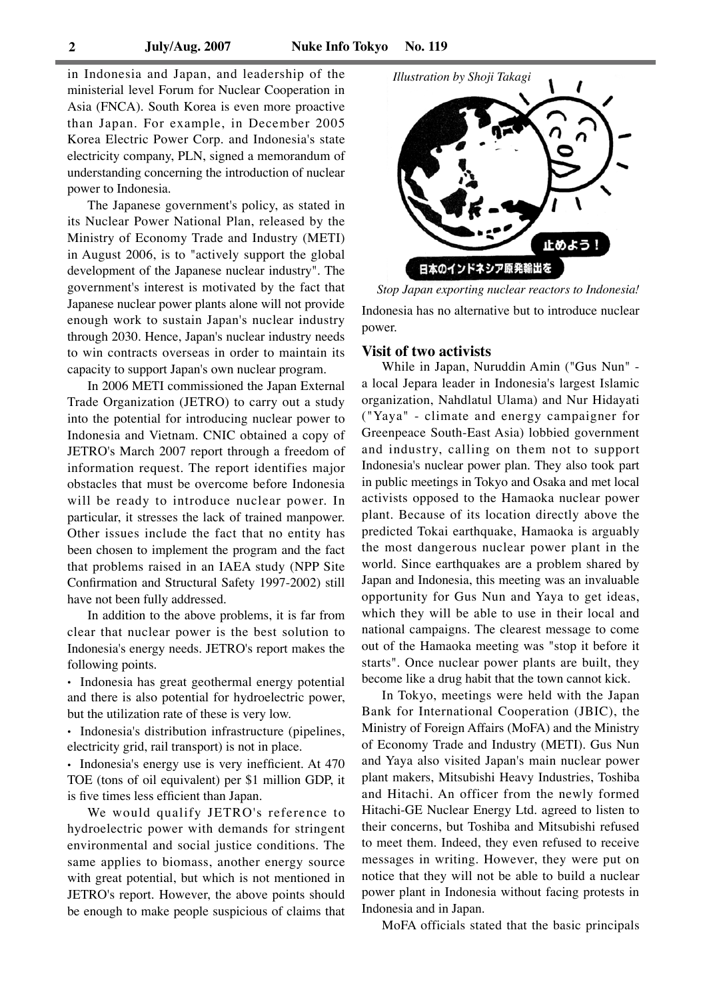in Indonesia and Japan, and leadership of the ministerial level Forum for Nuclear Cooperation in Asia (FNCA). South Korea is even more proactive than Japan. For example, in December 2005 Korea Electric Power Corp. and Indonesia's state electricity company, PLN, signed a memorandum of understanding concerning the introduction of nuclear power to Indonesia.

The Japanese government's policy, as stated in its Nuclear Power National Plan, released by the Ministry of Economy Trade and Industry (METI) in August 2006, is to "actively support the global development of the Japanese nuclear industry". The government's interest is motivated by the fact that Japanese nuclear power plants alone will not provide enough work to sustain Japan's nuclear industry through 2030. Hence, Japan's nuclear industry needs to win contracts overseas in order to maintain its capacity to support Japan's own nuclear program.

In 2006 METI commissioned the Japan External Trade Organization (JETRO) to carry out a study into the potential for introducing nuclear power to Indonesia and Vietnam. CNIC obtained a copy of JETRO's March 2007 report through a freedom of information request. The report identifies major obstacles that must be overcome before Indonesia will be ready to introduce nuclear power. In particular, it stresses the lack of trained manpower. Other issues include the fact that no entity has been chosen to implement the program and the fact that problems raised in an IAEA study (NPP Site Confirmation and Structural Safety 1997-2002) still have not been fully addressed.

In addition to the above problems, it is far from clear that nuclear power is the best solution to Indonesia's energy needs. JETRO's report makes the following points.

**.** Indonesia has great geothermal energy potential and there is also potential for hydroelectric power, but the utilization rate of these is very low.

**.** Indonesia's distribution infrastructure (pipelines, electricity grid, rail transport) is not in place.

**.** Indonesia's energy use is very inefficient. At 470 TOE (tons of oil equivalent) per \$1 million GDP, it is five times less efficient than Japan.

We would qualify JETRO's reference to hydroelectric power with demands for stringent environmental and social justice conditions. The same applies to biomass, another energy source with great potential, but which is not mentioned in JETRO's report. However, the above points should be enough to make people suspicious of claims that



Indonesia has no alternative but to introduce nuclear power. *Stop Japan exporting nuclear reactors to Indonesia!*

### **Visit of two activists**

While in Japan, Nuruddin Amin ("Gus Nun" a local Jepara leader in Indonesia's largest Islamic organization, Nahdlatul Ulama) and Nur Hidayati ("Yaya" - climate and energy campaigner for Greenpeace South-East Asia) lobbied government and industry, calling on them not to support Indonesia's nuclear power plan. They also took part in public meetings in Tokyo and Osaka and met local activists opposed to the Hamaoka nuclear power plant. Because of its location directly above the predicted Tokai earthquake, Hamaoka is arguably the most dangerous nuclear power plant in the world. Since earthquakes are a problem shared by Japan and Indonesia, this meeting was an invaluable opportunity for Gus Nun and Yaya to get ideas, which they will be able to use in their local and national campaigns. The clearest message to come out of the Hamaoka meeting was "stop it before it starts". Once nuclear power plants are built, they become like a drug habit that the town cannot kick.

In Tokyo, meetings were held with the Japan Bank for International Cooperation (JBIC), the Ministry of Foreign Affairs (MoFA) and the Ministry of Economy Trade and Industry (METI). Gus Nun and Yaya also visited Japan's main nuclear power plant makers, Mitsubishi Heavy Industries, Toshiba and Hitachi. An officer from the newly formed Hitachi-GE Nuclear Energy Ltd. agreed to listen to their concerns, but Toshiba and Mitsubishi refused to meet them. Indeed, they even refused to receive messages in writing. However, they were put on notice that they will not be able to build a nuclear power plant in Indonesia without facing protests in Indonesia and in Japan.

MoFA officials stated that the basic principals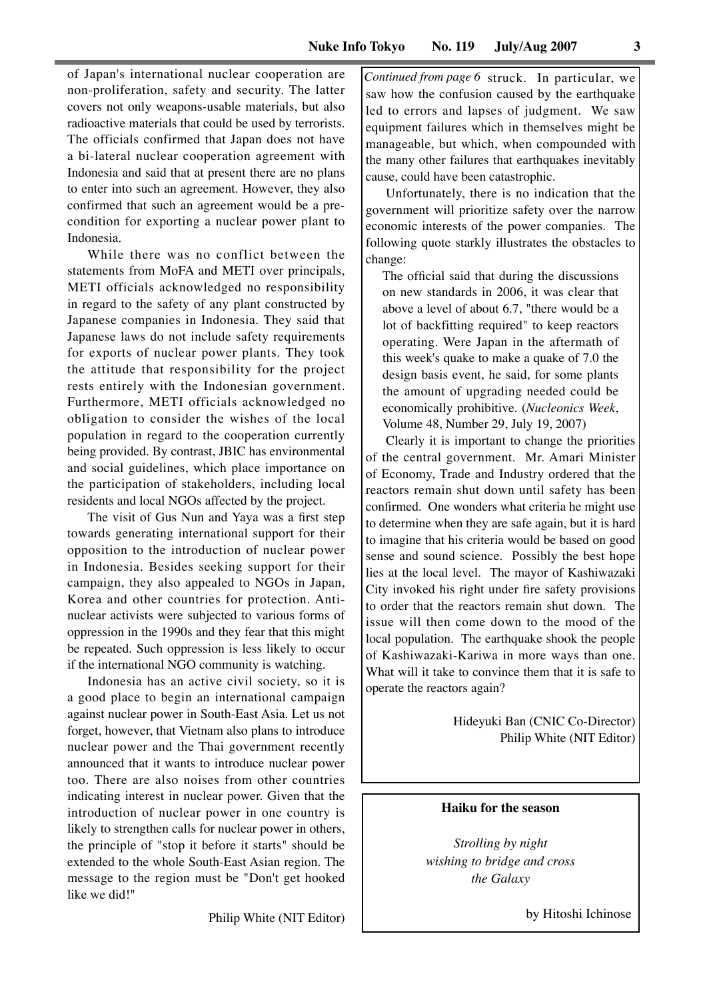of Japan's international nuclear cooperation are non-proliferation, safety and security. The latter covers not only weapons-usable materials, but also radioactive materials that could be used by terrorists. The officials confirmed that Japan does not have a bi-lateral nuclear cooperation agreement with Indonesia and said that at present there are no plans to enter into such an agreement. However, they also confirmed that such an agreement would be a precondition for exporting a nuclear power plant to Indonesia.

While there was no conflict between the statements from MoFA and METI over principals, METI officials acknowledged no responsibility in regard to the safety of any plant constructed by Japanese companies in Indonesia. They said that Japanese laws do not include safety requirements for exports of nuclear power plants. They took the attitude that responsibility for the project rests entirely with the Indonesian government. Furthermore, METI officials acknowledged no obligation to consider the wishes of the local population in regard to the cooperation currently being provided. By contrast, JBIC has environmental and social guidelines, which place importance on the participation of stakeholders, including local residents and local NGOs affected by the project.

The visit of Gus Nun and Yaya was a first step towards generating international support for their opposition to the introduction of nuclear power in Indonesia. Besides seeking support for their campaign, they also appealed to NGOs in Japan, Korea and other countries for protection. Antinuclear activists were subjected to various forms of oppression in the 1990s and they fear that this might be repeated. Such oppression is less likely to occur if the international NGO community is watching.

Indonesia has an active civil society, so it is a good place to begin an international campaign against nuclear power in South-East Asia. Let us not forget, however, that Vietnam also plans to introduce nuclear power and the Thai government recently announced that it wants to introduce nuclear power too. There are also noises from other countries indicating interest in nuclear power. Given that the introduction of nuclear power in one country is likely to strengthen calls for nuclear power in others, the principle of "stop it before it starts" should be extended to the whole South-East Asian region. The message to the region must be "Don't get hooked like we did!"

Philip White (NIT Editor)

Continued from page 6 struck. In particular, we saw how the confusion caused by the earthquake led to errors and lapses of judgment. We saw equipment failures which in themselves might be manageable, but which, when compounded with the many other failures that earthquakes inevitably cause, could have been catastrophic.

Unfortunately, there is no indication that the government will prioritize safety over the narrow economic interests of the power companies. The following quote starkly illustrates the obstacles to change:

The official said that during the discussions on new standards in 2006, it was clear that above a level of about 6.7, "there would be a lot of backfitting required" to keep reactors operating. Were Japan in the aftermath of this week's quake to make a quake of 7.0 the design basis event, he said, for some plants the amount of upgrading needed could be economically prohibitive. (*Nucleonics Week*, Volume 48, Number 29, July 19, 2007)

Clearly it is important to change the priorities of the central government. Mr. Amari Minister of Economy, Trade and Industry ordered that the reactors remain shut down until safety has been confirmed. One wonders what criteria he might use to determine when they are safe again, but it is hard to imagine that his criteria would be based on good sense and sound science. Possibly the best hope lies at the local level. The mayor of Kashiwazaki City invoked his right under fire safety provisions to order that the reactors remain shut down. The issue will then come down to the mood of the local population. The earthquake shook the people of Kashiwazaki-Kariwa in more ways than one. What will it take to convince them that it is safe to operate the reactors again?

> Hideyuki Ban (CNIC Co-Director) Philip White (NIT Editor)

### **Haiku for the season**

*Strolling by night wishing to bridge and cross the Galaxy*

by Hitoshi Ichinose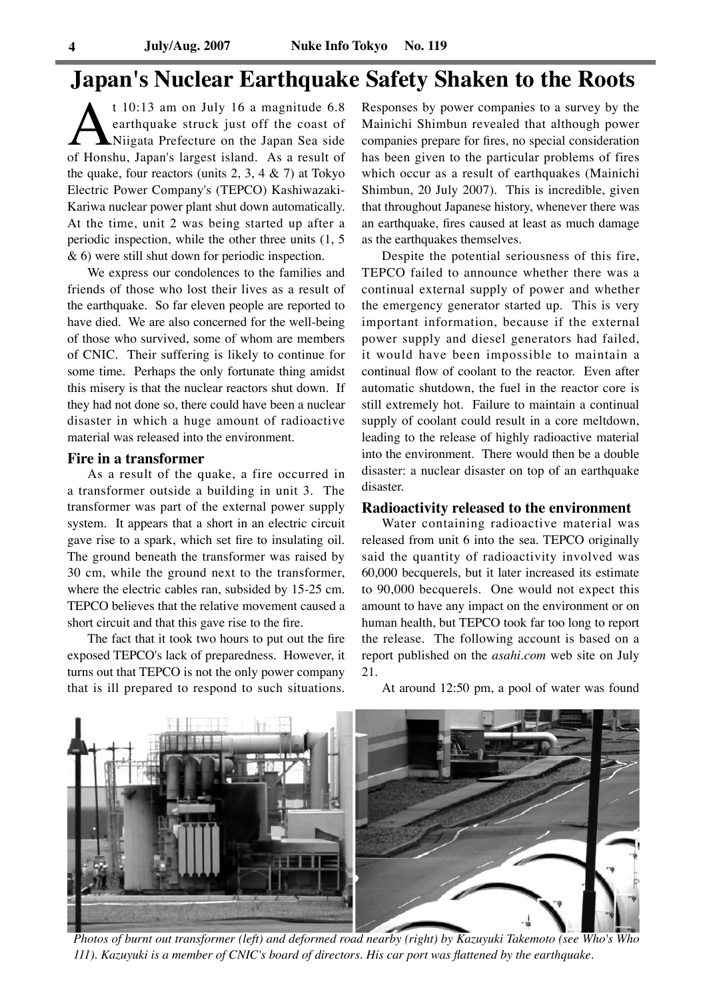# **Japan's Nuclear Earthquake Safety Shaken to the Roots**

t 10:13 am on July 16 a magnitude 6.8<br>
earthquake struck just off the coast of<br>
Niigata Prefecture on the Japan Sea side<br>
of Honshu, Japan's largest island. As a result of earthquake struck just off the coast of Niigata Prefecture on the Japan Sea side the quake, four reactors (units  $2, 3, 4 \& 7$ ) at Tokyo Electric Power Company's (TEPCO) Kashiwazaki-Kariwa nuclear power plant shut down automatically. At the time, unit 2 was being started up after a periodic inspection, while the other three units (1, 5 & 6) were still shut down for periodic inspection.

We express our condolences to the families and friends of those who lost their lives as a result of the earthquake. So far eleven people are reported to have died. We are also concerned for the well-being of those who survived, some of whom are members of CNIC. Their suffering is likely to continue for some time. Perhaps the only fortunate thing amidst this misery is that the nuclear reactors shut down. If they had not done so, there could have been a nuclear disaster in which a huge amount of radioactive material was released into the environment.

### **Fire in a transformer**

As a result of the quake, a fire occurred in a transformer outside a building in unit 3. The transformer was part of the external power supply system. It appears that a short in an electric circuit gave rise to a spark, which set fire to insulating oil. The ground beneath the transformer was raised by 30 cm, while the ground next to the transformer, where the electric cables ran, subsided by 15-25 cm. TEPCO believes that the relative movement caused a short circuit and that this gave rise to the fire.

The fact that it took two hours to put out the fire exposed TEPCO's lack of preparedness. However, it turns out that TEPCO is not the only power company that is ill prepared to respond to such situations. Responses by power companies to a survey by the Mainichi Shimbun revealed that although power companies prepare for fires, no special consideration has been given to the particular problems of fires which occur as a result of earthquakes (Mainichi Shimbun, 20 July 2007). This is incredible, given that throughout Japanese history, whenever there was an earthquake, fires caused at least as much damage as the earthquakes themselves.

Despite the potential seriousness of this fire, TEPCO failed to announce whether there was a continual external supply of power and whether the emergency generator started up. This is very important information, because if the external power supply and diesel generators had failed, it would have been impossible to maintain a continual flow of coolant to the reactor. Even after automatic shutdown, the fuel in the reactor core is still extremely hot. Failure to maintain a continual supply of coolant could result in a core meltdown, leading to the release of highly radioactive material into the environment. There would then be a double disaster: a nuclear disaster on top of an earthquake disaster.

### **Radioactivity released to the environment**

Water containing radioactive material was released from unit 6 into the sea. TEPCO originally said the quantity of radioactivity involved was 60,000 becquerels, but it later increased its estimate to 90,000 becquerels. One would not expect this amount to have any impact on the environment or on human health, but TEPCO took far too long to report the release. The following account is based on a report published on the *asahi.com* web site on July 21.



At around 12:50 pm, a pool of water was found

*Photos of burnt out transformer (left) and deformed road nearby (right) by Kazuyuki Takemoto (see Who's Who 111). Kazuyuki is a member of CNIC's board of directors. His car port was flattened by the earthquake.*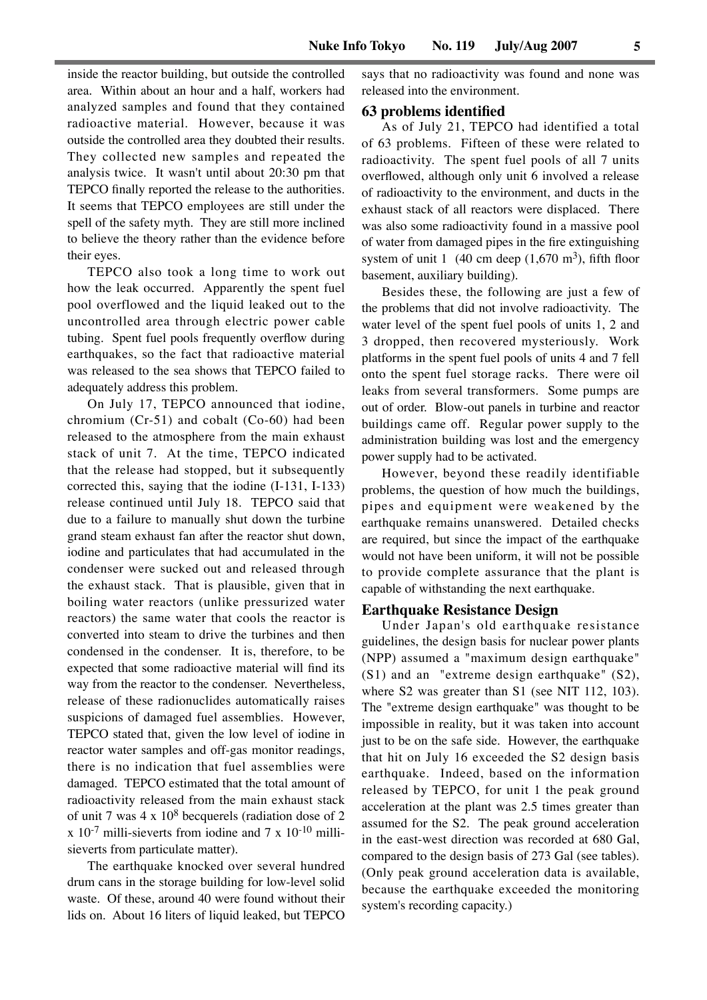inside the reactor building, but outside the controlled area. Within about an hour and a half, workers had analyzed samples and found that they contained radioactive material. However, because it was outside the controlled area they doubted their results. They collected new samples and repeated the analysis twice. It wasn't until about 20:30 pm that TEPCO finally reported the release to the authorities. It seems that TEPCO employees are still under the spell of the safety myth. They are still more inclined to believe the theory rather than the evidence before their eyes.

TEPCO also took a long time to work out how the leak occurred. Apparently the spent fuel pool overflowed and the liquid leaked out to the uncontrolled area through electric power cable tubing. Spent fuel pools frequently overflow during earthquakes, so the fact that radioactive material was released to the sea shows that TEPCO failed to adequately address this problem.

On July 17, TEPCO announced that iodine, chromium (Cr-51) and cobalt (Co-60) had been released to the atmosphere from the main exhaust stack of unit 7. At the time, TEPCO indicated that the release had stopped, but it subsequently corrected this, saying that the iodine (I-131, I-133) release continued until July 18. TEPCO said that due to a failure to manually shut down the turbine grand steam exhaust fan after the reactor shut down, iodine and particulates that had accumulated in the condenser were sucked out and released through the exhaust stack. That is plausible, given that in boiling water reactors (unlike pressurized water reactors) the same water that cools the reactor is converted into steam to drive the turbines and then condensed in the condenser. It is, therefore, to be expected that some radioactive material will find its way from the reactor to the condenser. Nevertheless, release of these radionuclides automatically raises suspicions of damaged fuel assemblies. However, TEPCO stated that, given the low level of iodine in reactor water samples and off-gas monitor readings, there is no indication that fuel assemblies were damaged. TEPCO estimated that the total amount of radioactivity released from the main exhaust stack of unit 7 was 4 x 108 becquerels (radiation dose of 2  $x 10^{-7}$  milli-sieverts from iodine and 7 x 10<sup>-10</sup> millisieverts from particulate matter).

The earthquake knocked over several hundred drum cans in the storage building for low-level solid waste. Of these, around 40 were found without their lids on. About 16 liters of liquid leaked, but TEPCO

says that no radioactivity was found and none was released into the environment.

### **63 problems identified**

As of July 21, TEPCO had identified a total of 63 problems. Fifteen of these were related to radioactivity. The spent fuel pools of all 7 units overflowed, although only unit 6 involved a release of radioactivity to the environment, and ducts in the exhaust stack of all reactors were displaced. There was also some radioactivity found in a massive pool of water from damaged pipes in the fire extinguishing system of unit 1 (40 cm deep  $(1,670 \text{ m}^3)$ , fifth floor basement, auxiliary building).

Besides these, the following are just a few of the problems that did not involve radioactivity. The water level of the spent fuel pools of units 1, 2 and 3 dropped, then recovered mysteriously. Work platforms in the spent fuel pools of units 4 and 7 fell onto the spent fuel storage racks. There were oil leaks from several transformers. Some pumps are out of order. Blow-out panels in turbine and reactor buildings came off. Regular power supply to the administration building was lost and the emergency power supply had to be activated.

However, beyond these readily identifiable problems, the question of how much the buildings, pipes and equipment were weakened by the earthquake remains unanswered. Detailed checks are required, but since the impact of the earthquake would not have been uniform, it will not be possible to provide complete assurance that the plant is capable of withstanding the next earthquake.

### **Earthquake Resistance Design**

Under Japan's old earthquake resistance guidelines, the design basis for nuclear power plants (NPP) assumed a "maximum design earthquake" (S1) and an "extreme design earthquake" (S2), where S2 was greater than S1 (see NIT 112, 103). The "extreme design earthquake" was thought to be impossible in reality, but it was taken into account just to be on the safe side. However, the earthquake that hit on July 16 exceeded the S2 design basis earthquake. Indeed, based on the information released by TEPCO, for unit 1 the peak ground acceleration at the plant was 2.5 times greater than assumed for the S2. The peak ground acceleration in the east-west direction was recorded at 680 Gal, compared to the design basis of 273 Gal (see tables). (Only peak ground acceleration data is available, because the earthquake exceeded the monitoring system's recording capacity.)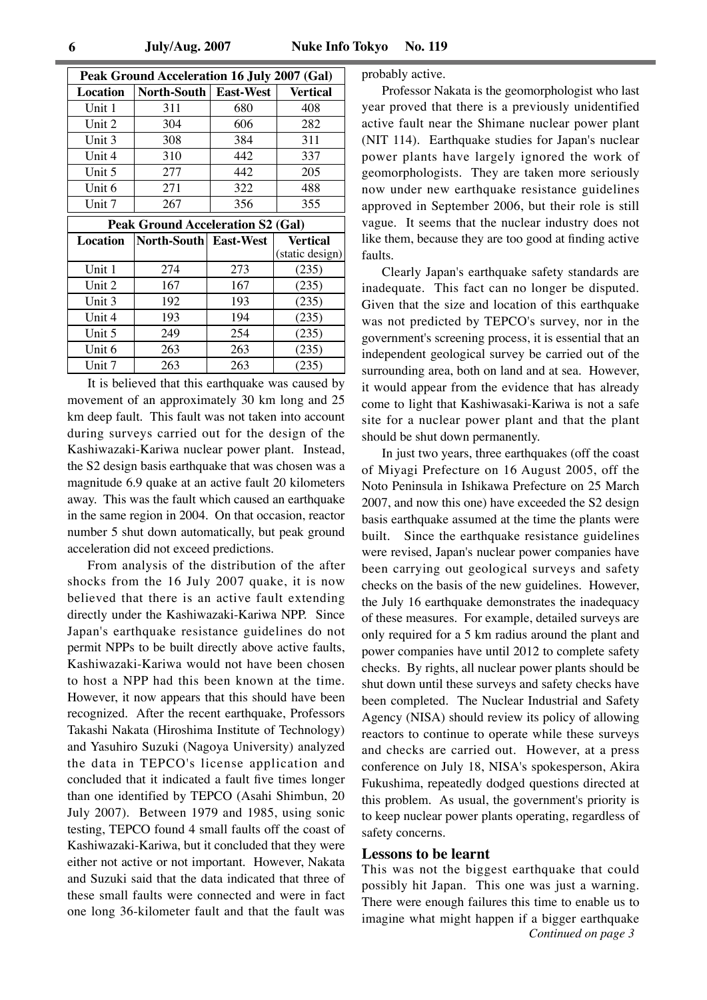| Peak Ground Acceleration 16 July 2007 (Gal) |                       |                  |                 |  |  |
|---------------------------------------------|-----------------------|------------------|-----------------|--|--|
| Location                                    | North-South           | <b>East-West</b> | <b>Vertical</b> |  |  |
| Unit 1                                      | 311                   | 680              | 408             |  |  |
| Unit 2                                      | 304                   | 606              | 282             |  |  |
| Unit 3                                      | 308                   | 384              | 311             |  |  |
| Unit 4                                      | 310                   | 442              | 337             |  |  |
| Unit 5                                      | 277                   | 442              | 205             |  |  |
| Unit 6                                      | 271                   | 322              | 488             |  |  |
| Unit 7                                      | 267                   | 356              | 355             |  |  |
| <b>Peak Ground Acceleration S2 (Gal)</b>    |                       |                  |                 |  |  |
| Location                                    | North-South East-West |                  | <b>Vertical</b> |  |  |
|                                             |                       |                  |                 |  |  |
|                                             |                       |                  | (static design) |  |  |
| Unit 1                                      | 274                   | 273              | (235)           |  |  |
| Unit 2                                      | 167                   | 167              | (235)           |  |  |
| Unit 3                                      | 192                   | 193              | (235)           |  |  |
| Unit 4                                      | 193                   | 194              | (235)           |  |  |
| Unit 5                                      | 249                   | 254              | (235)           |  |  |
| Unit 6                                      | 263                   | 263              | (235)           |  |  |

It is believed that this earthquake was caused by movement of an approximately 30 km long and 25 km deep fault. This fault was not taken into account during surveys carried out for the design of the Kashiwazaki-Kariwa nuclear power plant. Instead, the S2 design basis earthquake that was chosen was a magnitude 6.9 quake at an active fault 20 kilometers away. This was the fault which caused an earthquake in the same region in 2004. On that occasion, reactor number 5 shut down automatically, but peak ground acceleration did not exceed predictions.

From analysis of the distribution of the after shocks from the 16 July 2007 quake, it is now believed that there is an active fault extending directly under the Kashiwazaki-Kariwa NPP. Since Japan's earthquake resistance guidelines do not permit NPPs to be built directly above active faults, Kashiwazaki-Kariwa would not have been chosen to host a NPP had this been known at the time. However, it now appears that this should have been recognized. After the recent earthquake, Professors Takashi Nakata (Hiroshima Institute of Technology) and Yasuhiro Suzuki (Nagoya University) analyzed the data in TEPCO's license application and concluded that it indicated a fault five times longer than one identified by TEPCO (Asahi Shimbun, 20 July 2007). Between 1979 and 1985, using sonic testing, TEPCO found 4 small faults off the coast of Kashiwazaki-Kariwa, but it concluded that they were either not active or not important. However, Nakata and Suzuki said that the data indicated that three of these small faults were connected and were in fact one long 36-kilometer fault and that the fault was probably active.

Professor Nakata is the geomorphologist who last year proved that there is a previously unidentified active fault near the Shimane nuclear power plant (NIT 114). Earthquake studies for Japan's nuclear power plants have largely ignored the work of geomorphologists. They are taken more seriously now under new earthquake resistance guidelines approved in September 2006, but their role is still vague. It seems that the nuclear industry does not like them, because they are too good at finding active faults.

Clearly Japan's earthquake safety standards are inadequate. This fact can no longer be disputed. Given that the size and location of this earthquake was not predicted by TEPCO's survey, nor in the government's screening process, it is essential that an independent geological survey be carried out of the surrounding area, both on land and at sea. However, it would appear from the evidence that has already come to light that Kashiwasaki-Kariwa is not a safe site for a nuclear power plant and that the plant should be shut down permanently.

In just two years, three earthquakes (off the coast of Miyagi Prefecture on 16 August 2005, off the Noto Peninsula in Ishikawa Prefecture on 25 March 2007, and now this one) have exceeded the S2 design basis earthquake assumed at the time the plants were built. Since the earthquake resistance guidelines were revised, Japan's nuclear power companies have been carrying out geological surveys and safety checks on the basis of the new guidelines. However, the July 16 earthquake demonstrates the inadequacy of these measures. For example, detailed surveys are only required for a 5 km radius around the plant and power companies have until 2012 to complete safety checks. By rights, all nuclear power plants should be shut down until these surveys and safety checks have been completed. The Nuclear Industrial and Safety Agency (NISA) should review its policy of allowing reactors to continue to operate while these surveys and checks are carried out. However, at a press conference on July 18, NISA's spokesperson, Akira Fukushima, repeatedly dodged questions directed at this problem. As usual, the government's priority is to keep nuclear power plants operating, regardless of safety concerns.

### **Lessons to be learnt**

This was not the biggest earthquake that could possibly hit Japan. This one was just a warning. There were enough failures this time to enable us to imagine what might happen if a bigger earthquake *Continued on page 3*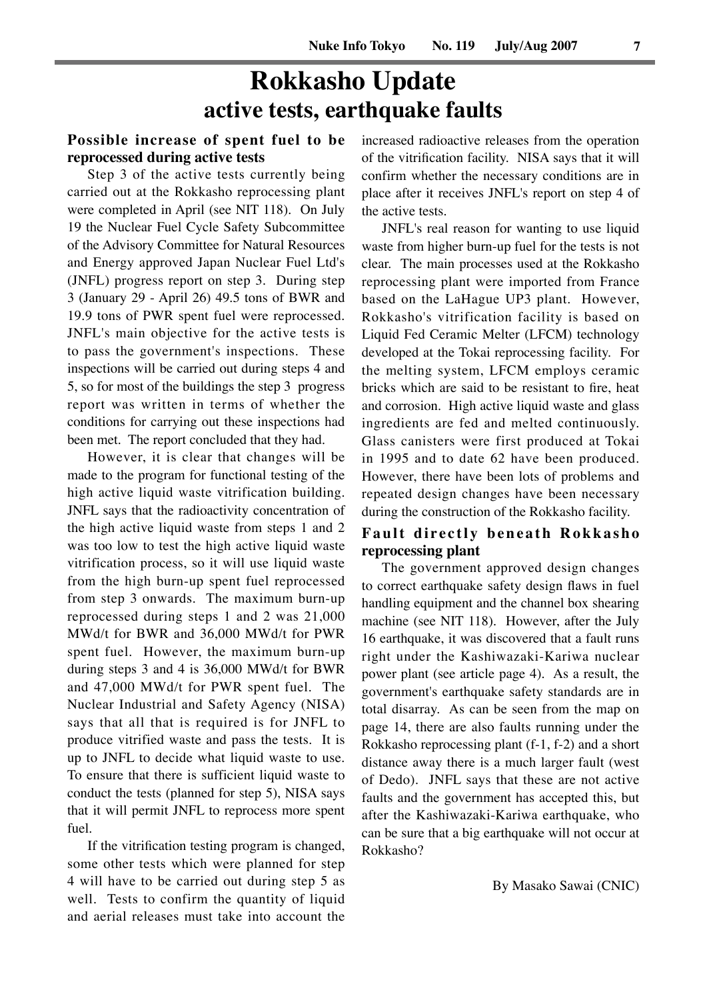# **Rokkasho Update active tests, earthquake faults**

# **Possible increase of spent fuel to be reprocessed during active tests**

Step 3 of the active tests currently being carried out at the Rokkasho reprocessing plant were completed in April (see NIT 118). On July 19 the Nuclear Fuel Cycle Safety Subcommittee of the Advisory Committee for Natural Resources and Energy approved Japan Nuclear Fuel Ltd's (JNFL) progress report on step 3. During step 3 (January 29 - April 26) 49.5 tons of BWR and 19.9 tons of PWR spent fuel were reprocessed. JNFL's main objective for the active tests is to pass the government's inspections. These inspections will be carried out during steps 4 and 5, so for most of the buildings the step 3 progress report was written in terms of whether the conditions for carrying out these inspections had been met. The report concluded that they had.

However, it is clear that changes will be made to the program for functional testing of the high active liquid waste vitrification building. JNFL says that the radioactivity concentration of the high active liquid waste from steps 1 and 2 was too low to test the high active liquid waste vitrification process, so it will use liquid waste from the high burn-up spent fuel reprocessed from step 3 onwards. The maximum burn-up reprocessed during steps 1 and 2 was 21,000 MWd/t for BWR and 36,000 MWd/t for PWR spent fuel. However, the maximum burn-up during steps 3 and 4 is 36,000 MWd/t for BWR and 47,000 MWd/t for PWR spent fuel. The Nuclear Industrial and Safety Agency (NISA) says that all that is required is for JNFL to produce vitrified waste and pass the tests. It is up to JNFL to decide what liquid waste to use. To ensure that there is sufficient liquid waste to conduct the tests (planned for step 5), NISA says that it will permit JNFL to reprocess more spent fuel.

If the vitrification testing program is changed, some other tests which were planned for step 4 will have to be carried out during step 5 as well. Tests to confirm the quantity of liquid and aerial releases must take into account the

increased radioactive releases from the operation of the vitrification facility. NISA says that it will confirm whether the necessary conditions are in place after it receives JNFL's report on step 4 of the active tests.

JNFL's real reason for wanting to use liquid waste from higher burn-up fuel for the tests is not clear. The main processes used at the Rokkasho reprocessing plant were imported from France based on the LaHague UP3 plant. However, Rokkasho's vitrification facility is based on Liquid Fed Ceramic Melter (LFCM) technology developed at the Tokai reprocessing facility. For the melting system, LFCM employs ceramic bricks which are said to be resistant to fire, heat and corrosion. High active liquid waste and glass ingredients are fed and melted continuously. Glass canisters were first produced at Tokai in 1995 and to date 62 have been produced. However, there have been lots of problems and repeated design changes have been necessary during the construction of the Rokkasho facility.

# **Fault directly beneath Rokkasho reprocessing plant**

The government approved design changes to correct earthquake safety design flaws in fuel handling equipment and the channel box shearing machine (see NIT 118). However, after the July 16 earthquake, it was discovered that a fault runs right under the Kashiwazaki-Kariwa nuclear power plant (see article page 4). As a result, the government's earthquake safety standards are in total disarray. As can be seen from the map on page 14, there are also faults running under the Rokkasho reprocessing plant (f-1, f-2) and a short distance away there is a much larger fault (west of Dedo). JNFL says that these are not active faults and the government has accepted this, but after the Kashiwazaki-Kariwa earthquake, who can be sure that a big earthquake will not occur at Rokkasho?

By Masako Sawai (CNIC)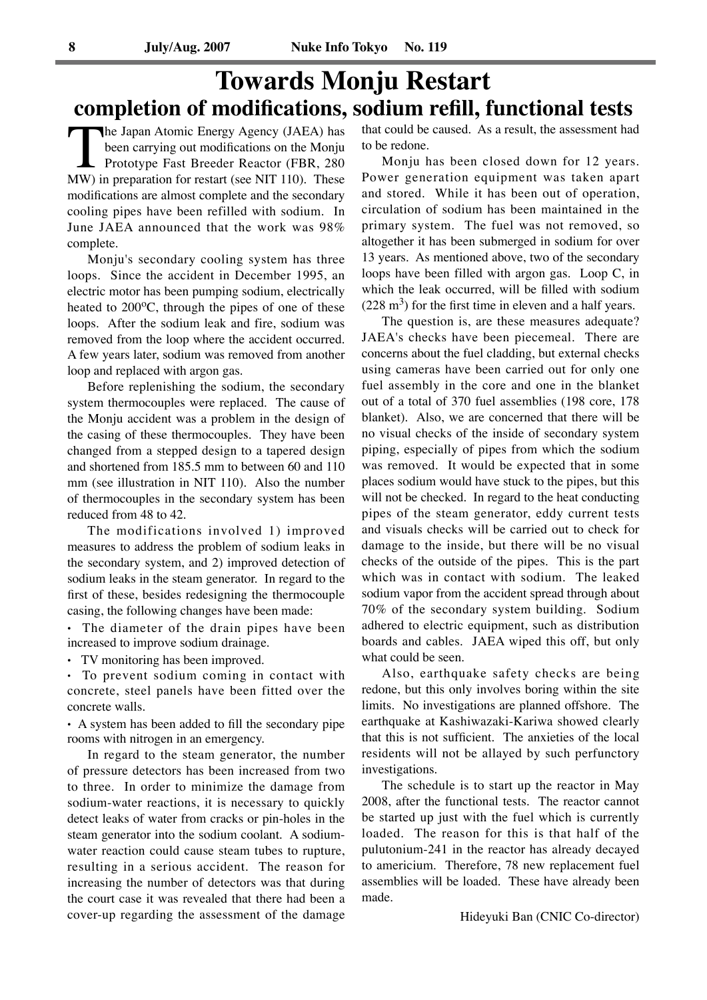# **Towards Monju Restart completion of modifications, sodium refill, functional tests**

The Japan Atomic Energy Agency (JAEA) has<br>been carrying out modifications on the Monju<br>Prototype Fast Breeder Reactor (FBR, 280<br>MW) in preparation for restart (see NIT 110). These been carrying out modifications on the Monju Prototype Fast Breeder Reactor (FBR, 280 MW) in preparation for restart (see NIT 110). These modifications are almost complete and the secondary cooling pipes have been refilled with sodium. In June JAEA announced that the work was 98% complete.

Monju's secondary cooling system has three loops. Since the accident in December 1995, an electric motor has been pumping sodium, electrically heated to  $200^{\circ}$ C, through the pipes of one of these loops. After the sodium leak and fire, sodium was removed from the loop where the accident occurred. A few years later, sodium was removed from another loop and replaced with argon gas.

Before replenishing the sodium, the secondary system thermocouples were replaced. The cause of the Monju accident was a problem in the design of the casing of these thermocouples. They have been changed from a stepped design to a tapered design and shortened from 185.5 mm to between 60 and 110 mm (see illustration in NIT 110). Also the number of thermocouples in the secondary system has been reduced from 48 to 42.

The modifications involved 1) improved measures to address the problem of sodium leaks in the secondary system, and 2) improved detection of sodium leaks in the steam generator. In regard to the first of these, besides redesigning the thermocouple casing, the following changes have been made:

**.** The diameter of the drain pipes have been increased to improve sodium drainage.

**.** TV monitoring has been improved. **.** To prevent sodium coming in contact with concrete, steel panels have been fitted over the concrete walls.

**.** A system has been added to fill the secondary pipe rooms with nitrogen in an emergency.

In regard to the steam generator, the number of pressure detectors has been increased from two to three. In order to minimize the damage from sodium-water reactions, it is necessary to quickly detect leaks of water from cracks or pin-holes in the steam generator into the sodium coolant. A sodiumwater reaction could cause steam tubes to rupture, resulting in a serious accident. The reason for increasing the number of detectors was that during the court case it was revealed that there had been a cover-up regarding the assessment of the damage that could be caused. As a result, the assessment had to be redone.

Monju has been closed down for 12 years. Power generation equipment was taken apart and stored. While it has been out of operation, circulation of sodium has been maintained in the primary system. The fuel was not removed, so altogether it has been submerged in sodium for over 13 years. As mentioned above, two of the secondary loops have been filled with argon gas. Loop C, in which the leak occurred, will be filled with sodium  $(228 \text{ m}^3)$  for the first time in eleven and a half years.

The question is, are these measures adequate? JAEA's checks have been piecemeal. There are concerns about the fuel cladding, but external checks using cameras have been carried out for only one fuel assembly in the core and one in the blanket out of a total of 370 fuel assemblies (198 core, 178 blanket). Also, we are concerned that there will be no visual checks of the inside of secondary system piping, especially of pipes from which the sodium was removed. It would be expected that in some places sodium would have stuck to the pipes, but this will not be checked. In regard to the heat conducting pipes of the steam generator, eddy current tests and visuals checks will be carried out to check for damage to the inside, but there will be no visual checks of the outside of the pipes. This is the part which was in contact with sodium. The leaked sodium vapor from the accident spread through about 70% of the secondary system building. Sodium adhered to electric equipment, such as distribution boards and cables. JAEA wiped this off, but only what could be seen.

Also, earthquake safety checks are being redone, but this only involves boring within the site limits. No investigations are planned offshore. The earthquake at Kashiwazaki-Kariwa showed clearly that this is not sufficient. The anxieties of the local residents will not be allayed by such perfunctory investigations.

The schedule is to start up the reactor in May 2008, after the functional tests. The reactor cannot be started up just with the fuel which is currently loaded. The reason for this is that half of the pulutonium-241 in the reactor has already decayed to americium. Therefore, 78 new replacement fuel assemblies will be loaded. These have already been made.

Hideyuki Ban (CNIC Co-director)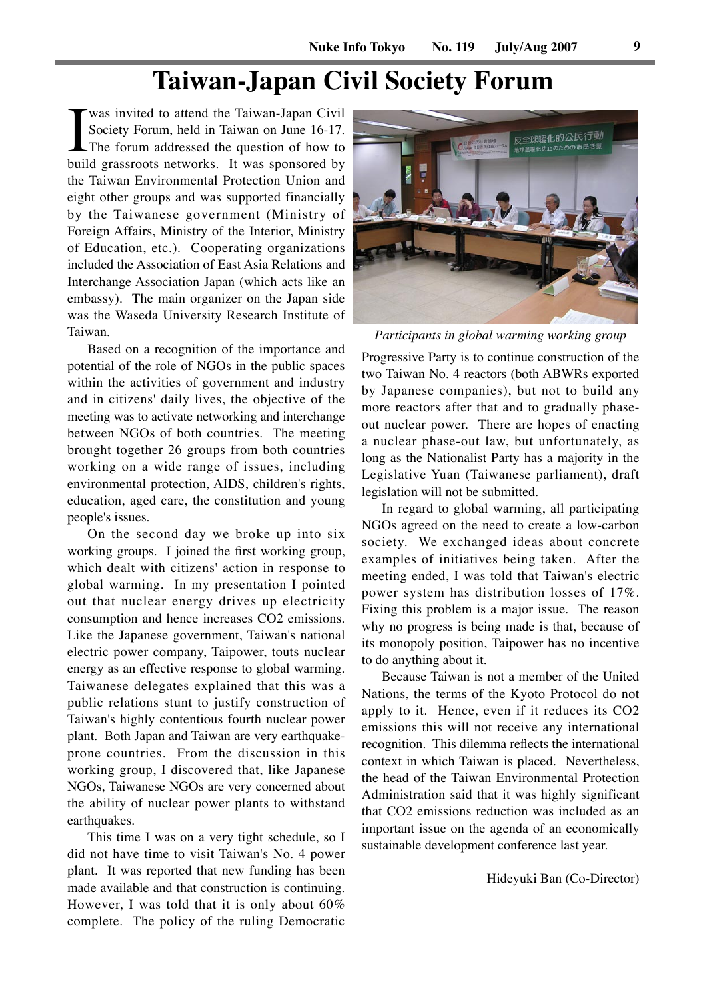# **Taiwan-Japan Civil Society Forum**

was invited to attend the Taiwan-Japan Civil<br>Society Forum, held in Taiwan on June 16-17.<br>The forum addressed the question of how to<br>build grassroots networks. It was sponsored by Society Forum, held in Taiwan on June 16-17. The forum addressed the question of how to build grassroots networks. It was sponsored by the Taiwan Environmental Protection Union and eight other groups and was supported financially by the Taiwanese government (Ministry of Foreign Affairs, Ministry of the Interior, Ministry of Education, etc.). Cooperating organizations included the Association of East Asia Relations and Interchange Association Japan (which acts like an embassy). The main organizer on the Japan side was the Waseda University Research Institute of Taiwan.

Based on a recognition of the importance and potential of the role of NGOs in the public spaces within the activities of government and industry and in citizens' daily lives, the objective of the meeting was to activate networking and interchange between NGOs of both countries. The meeting brought together 26 groups from both countries working on a wide range of issues, including environmental protection, AIDS, children's rights, education, aged care, the constitution and young people's issues.

On the second day we broke up into six working groups. I joined the first working group, which dealt with citizens' action in response to global warming. In my presentation I pointed out that nuclear energy drives up electricity consumption and hence increases CO2 emissions. Like the Japanese government, Taiwan's national electric power company, Taipower, touts nuclear energy as an effective response to global warming. Taiwanese delegates explained that this was a public relations stunt to justify construction of Taiwan's highly contentious fourth nuclear power plant. Both Japan and Taiwan are very earthquakeprone countries. From the discussion in this working group, I discovered that, like Japanese NGOs, Taiwanese NGOs are very concerned about the ability of nuclear power plants to withstand earthquakes.

This time I was on a very tight schedule, so I did not have time to visit Taiwan's No. 4 power plant. It was reported that new funding has been made available and that construction is continuing. However, I was told that it is only about 60% complete. The policy of the ruling Democratic



*Participants in global warming working group*

Progressive Party is to continue construction of the two Taiwan No. 4 reactors (both ABWRs exported by Japanese companies), but not to build any more reactors after that and to gradually phaseout nuclear power. There are hopes of enacting a nuclear phase-out law, but unfortunately, as long as the Nationalist Party has a majority in the Legislative Yuan (Taiwanese parliament), draft legislation will not be submitted.

In regard to global warming, all participating NGOs agreed on the need to create a low-carbon society. We exchanged ideas about concrete examples of initiatives being taken. After the meeting ended, I was told that Taiwan's electric power system has distribution losses of 17%. Fixing this problem is a major issue. The reason why no progress is being made is that, because of its monopoly position, Taipower has no incentive to do anything about it.

Because Taiwan is not a member of the United Nations, the terms of the Kyoto Protocol do not apply to it. Hence, even if it reduces its CO2 emissions this will not receive any international recognition. This dilemma reflects the international context in which Taiwan is placed. Nevertheless, the head of the Taiwan Environmental Protection Administration said that it was highly significant that CO2 emissions reduction was included as an important issue on the agenda of an economically sustainable development conference last year.

Hideyuki Ban (Co-Director)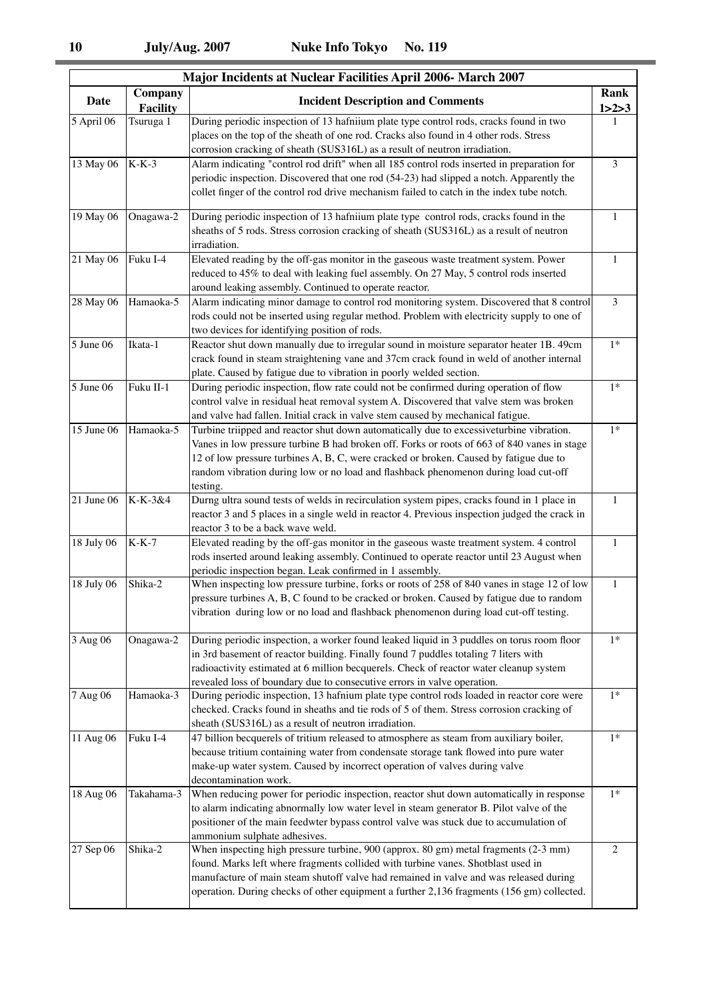| Major Incidents at Nuclear Facilities April 2006- March 2007 |                            |                                                                                                                                                                                                                                                                                                                                                                                    |                   |  |  |
|--------------------------------------------------------------|----------------------------|------------------------------------------------------------------------------------------------------------------------------------------------------------------------------------------------------------------------------------------------------------------------------------------------------------------------------------------------------------------------------------|-------------------|--|--|
| <b>Date</b>                                                  | Company<br><b>Facility</b> | <b>Incident Description and Comments</b>                                                                                                                                                                                                                                                                                                                                           | Rank<br>1 > 2 > 3 |  |  |
| 5 April 06                                                   | Tsuruga 1                  | During periodic inspection of 13 hafniium plate type control rods, cracks found in two<br>places on the top of the sheath of one rod. Cracks also found in 4 other rods. Stress<br>corrosion cracking of sheath (SUS316L) as a result of neutron irradiation.                                                                                                                      | 1                 |  |  |
| 13 May 06                                                    | $K-K-3$                    | Alarm indicating "control rod drift" when all 185 control rods inserted in preparation for<br>periodic inspection. Discovered that one rod (54-23) had slipped a notch. Apparently the<br>collet finger of the control rod drive mechanism failed to catch in the index tube notch.                                                                                                | 3                 |  |  |
| $19$ May 06                                                  | Onagawa-2                  | During periodic inspection of 13 hafniium plate type control rods, cracks found in the<br>sheaths of 5 rods. Stress corrosion cracking of sheath (SUS316L) as a result of neutron<br>irradiation.                                                                                                                                                                                  | $\mathbf{1}$      |  |  |
| 21 May 06                                                    | Fuku I-4                   | Elevated reading by the off-gas monitor in the gaseous waste treatment system. Power<br>reduced to 45% to deal with leaking fuel assembly. On 27 May, 5 control rods inserted<br>around leaking assembly. Continued to operate reactor.                                                                                                                                            | $\mathbf{1}$      |  |  |
| 28 May 06                                                    | Hamaoka-5                  | Alarm indicating minor damage to control rod monitoring system. Discovered that 8 control<br>rods could not be inserted using regular method. Problem with electricity supply to one of<br>two devices for identifying position of rods.                                                                                                                                           | 3                 |  |  |
| 5 June 06                                                    | Ikata-1                    | Reactor shut down manually due to irregular sound in moisture separator heater 1B. 49cm<br>crack found in steam straightening vane and 37cm crack found in weld of another internal<br>plate. Caused by fatigue due to vibration in poorly welded section.                                                                                                                         | $1*$              |  |  |
| $5$ June 06                                                  | Fuku II-1                  | During periodic inspection, flow rate could not be confirmed during operation of flow<br>control valve in residual heat removal system A. Discovered that valve stem was broken<br>and valve had fallen. Initial crack in valve stem caused by mechanical fatigue.                                                                                                                 | $1*$              |  |  |
| 15 June 06                                                   | Hamaoka-5                  | Turbine triipped and reactor shut down automatically due to excessiveturbine vibration.<br>Vanes in low pressure turbine B had broken off. Forks or roots of 663 of 840 vanes in stage<br>12 of low pressure turbines A, B, C, were cracked or broken. Caused by fatigue due to<br>random vibration during low or no load and flashback phenomenon during load cut-off<br>testing. | $1*$              |  |  |
| $21$ June 06                                                 | K-K-3&4                    | Durng ultra sound tests of welds in recirculation system pipes, cracks found in 1 place in<br>reactor 3 and 5 places in a single weld in reactor 4. Previous inspection judged the crack in<br>reactor 3 to be a back wave weld.                                                                                                                                                   | 1                 |  |  |
| 18 July 06                                                   | $K-K-7$                    | Elevated reading by the off-gas monitor in the gaseous waste treatment system. 4 control<br>rods inserted around leaking assembly. Continued to operate reactor until 23 August when<br>periodic inspection began. Leak confirmed in 1 assembly.                                                                                                                                   | 1                 |  |  |
| 18 July 06                                                   | Shika-2                    | When inspecting low pressure turbine, forks or roots of 258 of 840 vanes in stage 12 of low<br>pressure turbines A, B, C found to be cracked or broken. Caused by fatigue due to random<br>vibration during low or no load and flashback phenomenon during load cut-off testing.                                                                                                   | $\mathbf{1}$      |  |  |
| 3 Aug 06                                                     | Onagawa-2                  | During periodic inspection, a worker found leaked liquid in 3 puddles on torus room floor<br>in 3rd basement of reactor building. Finally found 7 puddles totaling 7 liters with<br>radioactivity estimated at 6 million becquerels. Check of reactor water cleanup system<br>revealed loss of boundary due to consecutive errors in valve operation.                              | $1*$              |  |  |
| 7 Aug 06                                                     | Hamaoka-3                  | During periodic inspection, 13 hafnium plate type control rods loaded in reactor core were<br>checked. Cracks found in sheaths and tie rods of 5 of them. Stress corrosion cracking of<br>sheath (SUS316L) as a result of neutron irradiation.                                                                                                                                     | $1*$              |  |  |
| 11 Aug 06                                                    | Fuku I-4                   | 47 billion becquerels of tritium released to atmosphere as steam from auxiliary boiler,<br>because tritium containing water from condensate storage tank flowed into pure water<br>make-up water system. Caused by incorrect operation of valves during valve<br>decontamination work.                                                                                             | $1*$              |  |  |
| 18 Aug 06                                                    | Takahama-3                 | When reducing power for periodic inspection, reactor shut down automatically in response<br>to alarm indicating abnormally low water level in steam generator B. Pilot valve of the<br>positioner of the main feedwter bypass control valve was stuck due to accumulation of<br>ammonium sulphate adhesives.                                                                       | $1*$              |  |  |
| 27 Sep 06                                                    | Shika-2                    | When inspecting high pressure turbine, 900 (approx. 80 gm) metal fragments (2-3 mm)<br>found. Marks left where fragments collided with turbine vanes. Shotblast used in<br>manufacture of main steam shutoff valve had remained in valve and was released during<br>operation. During checks of other equipment a further 2,136 fragments (156 gm) collected.                      | 2                 |  |  |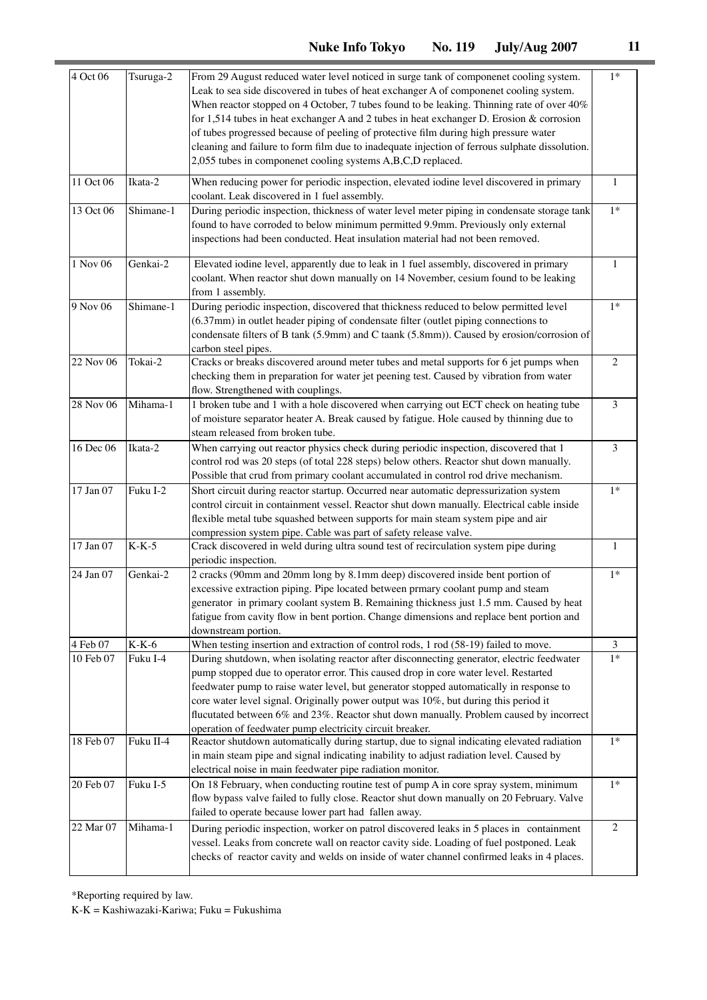| 4 Oct 06  | Tsuruga-2 | From 29 August reduced water level noticed in surge tank of componenet cooling system.<br>Leak to sea side discovered in tubes of heat exchanger A of componenet cooling system.                                                                                                                                                                                                                                                                                                                                         | $1*$         |
|-----------|-----------|--------------------------------------------------------------------------------------------------------------------------------------------------------------------------------------------------------------------------------------------------------------------------------------------------------------------------------------------------------------------------------------------------------------------------------------------------------------------------------------------------------------------------|--------------|
|           |           | When reactor stopped on 4 October, 7 tubes found to be leaking. Thinning rate of over 40%<br>for 1,514 tubes in heat exchanger A and 2 tubes in heat exchanger D. Erosion & corrosion<br>of tubes progressed because of peeling of protective film during high pressure water<br>cleaning and failure to form film due to inadequate injection of ferrous sulphate dissolution.                                                                                                                                          |              |
|           |           | 2,055 tubes in componenet cooling systems A,B,C,D replaced.                                                                                                                                                                                                                                                                                                                                                                                                                                                              |              |
| 11 Oct 06 | Ikata-2   | When reducing power for periodic inspection, elevated iodine level discovered in primary<br>coolant. Leak discovered in 1 fuel assembly.                                                                                                                                                                                                                                                                                                                                                                                 | $\mathbf{1}$ |
| 13 Oct 06 | Shimane-1 | During periodic inspection, thickness of water level meter piping in condensate storage tank<br>found to have corroded to below minimum permitted 9.9mm. Previously only external<br>inspections had been conducted. Heat insulation material had not been removed.                                                                                                                                                                                                                                                      | $1*$         |
| 1 Nov 06  | Genkai-2  | Elevated iodine level, apparently due to leak in 1 fuel assembly, discovered in primary<br>coolant. When reactor shut down manually on 14 November, cesium found to be leaking<br>from 1 assembly.                                                                                                                                                                                                                                                                                                                       | $\mathbf{1}$ |
| 9 Nov 06  | Shimane-1 | During periodic inspection, discovered that thickness reduced to below permitted level<br>(6.37mm) in outlet header piping of condensate filter (outlet piping connections to<br>condensate filters of B tank (5.9mm) and C taank (5.8mm)). Caused by erosion/corrosion of<br>carbon steel pipes.                                                                                                                                                                                                                        | $1*$         |
| 22 Nov 06 | Tokai-2   | Cracks or breaks discovered around meter tubes and metal supports for 6 jet pumps when<br>checking them in preparation for water jet peening test. Caused by vibration from water<br>flow. Strengthened with couplings.                                                                                                                                                                                                                                                                                                  | 2            |
| 28 Nov 06 | Mihama-1  | 1 broken tube and 1 with a hole discovered when carrying out ECT check on heating tube<br>of moisture separator heater A. Break caused by fatigue. Hole caused by thinning due to<br>steam released from broken tube.                                                                                                                                                                                                                                                                                                    | 3            |
| 16 Dec 06 | Ikata-2   | When carrying out reactor physics check during periodic inspection, discovered that 1<br>control rod was 20 steps (of total 228 steps) below others. Reactor shut down manually.<br>Possible that crud from primary coolant accumulated in control rod drive mechanism.                                                                                                                                                                                                                                                  | 3            |
| 17 Jan 07 | Fuku I-2  | Short circuit during reactor startup. Occurred near automatic depressurization system<br>control circuit in containment vessel. Reactor shut down manually. Electrical cable inside<br>flexible metal tube squashed between supports for main steam system pipe and air<br>compression system pipe. Cable was part of safety release valve.                                                                                                                                                                              | $1*$         |
| 17 Jan 07 | $K-K-5$   | Crack discovered in weld during ultra sound test of recirculation system pipe during<br>periodic inspection.                                                                                                                                                                                                                                                                                                                                                                                                             | $\mathbf{1}$ |
| 24 Jan 07 | Genkai-2  | 2 cracks (90mm and 20mm long by 8.1mm deep) discovered inside bent portion of<br>excessive extraction piping. Pipe located between prmary coolant pump and steam<br>generator in primary coolant system B. Remaining thickness just 1.5 mm. Caused by heat<br>fatigue from cavity flow in bent portion. Change dimensions and replace bent portion and<br>downstream portion.                                                                                                                                            | $1*$         |
| 4 Feb 07  | $K-K-6$   | When testing insertion and extraction of control rods, 1 rod (58-19) failed to move.                                                                                                                                                                                                                                                                                                                                                                                                                                     | 3            |
| 10 Feb 07 | Fuku I-4  | During shutdown, when isolating reactor after disconnecting generator, electric feedwater<br>pump stopped due to operator error. This caused drop in core water level. Restarted<br>feedwater pump to raise water level, but generator stopped automatically in response to<br>core water level signal. Originally power output was 10%, but during this period it<br>flucutated between 6% and 23%. Reactor shut down manually. Problem caused by incorrect<br>operation of feedwater pump electricity circuit breaker. | $1*$         |
| 18 Feb 07 | Fuku II-4 | Reactor shutdown automatically during startup, due to signal indicating elevated radiation<br>in main steam pipe and signal indicating inability to adjust radiation level. Caused by<br>electrical noise in main feedwater pipe radiation monitor.                                                                                                                                                                                                                                                                      | $1*$         |
| 20 Feb 07 | Fuku I-5  | On 18 February, when conducting routine test of pump A in core spray system, minimum<br>flow bypass valve failed to fully close. Reactor shut down manually on 20 February. Valve<br>failed to operate because lower part had fallen away.                                                                                                                                                                                                                                                                               | $1*$         |
| 22 Mar 07 | Mihama-1  | During periodic inspection, worker on patrol discovered leaks in 5 places in containment<br>vessel. Leaks from concrete wall on reactor cavity side. Loading of fuel postponed. Leak<br>checks of reactor cavity and welds on inside of water channel confirmed leaks in 4 places.                                                                                                                                                                                                                                       | 2            |

\*Reporting required by law.

 $\mathbf{K}\text{-}\mathbf{K}=\mathbf{K}$ ashiwazaki-Kariwa; Fuku $=\mathbf{F}$ ukushima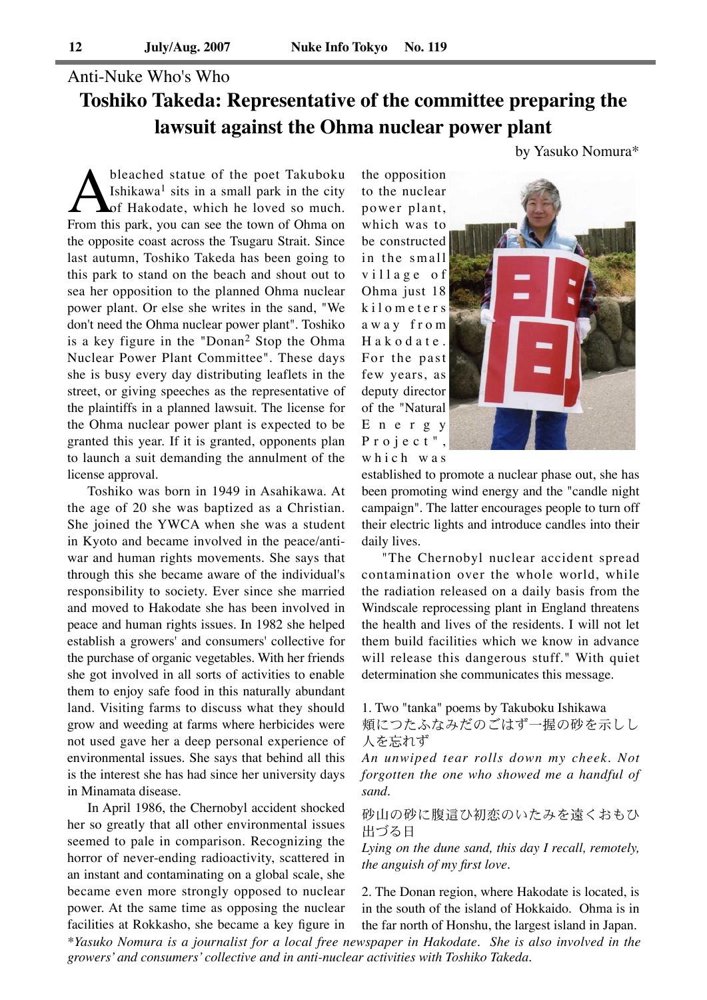# Anti-Nuke Who's Who **Toshiko Takeda: Representative of the committee preparing the lawsuit against the Ohma nuclear power plant**

bleached statue of the poet Takuboku<br>Ishikawa<sup>1</sup> sits in a small park in the city<br>From this park, you can see the town of Ohma on Ishikawa<sup>1</sup> sits in a small park in the city of Hakodate, which he loved so much. the opposite coast across the Tsugaru Strait. Since last autumn, Toshiko Takeda has been going to this park to stand on the beach and shout out to sea her opposition to the planned Ohma nuclear power plant. Or else she writes in the sand, "We don't need the Ohma nuclear power plant". Toshiko is a key figure in the "Donan2 Stop the Ohma Nuclear Power Plant Committee". These days she is busy every day distributing leaflets in the street, or giving speeches as the representative of the plaintiffs in a planned lawsuit. The license for the Ohma nuclear power plant is expected to be granted this year. If it is granted, opponents plan to launch a suit demanding the annulment of the license approval.

Toshiko was born in 1949 in Asahikawa. At the age of 20 she was baptized as a Christian. She joined the YWCA when she was a student in Kyoto and became involved in the peace/antiwar and human rights movements. She says that through this she became aware of the individual's responsibility to society. Ever since she married and moved to Hakodate she has been involved in peace and human rights issues. In 1982 she helped establish a growers' and consumers' collective for the purchase of organic vegetables. With her friends she got involved in all sorts of activities to enable them to enjoy safe food in this naturally abundant land. Visiting farms to discuss what they should grow and weeding at farms where herbicides were not used gave her a deep personal experience of environmental issues. She says that behind all this is the interest she has had since her university days in Minamata disease.

In April 1986, the Chernobyl accident shocked her so greatly that all other environmental issues seemed to pale in comparison. Recognizing the horror of never-ending radioactivity, scattered in an instant and contaminating on a global scale, she became even more strongly opposed to nuclear power. At the same time as opposing the nuclear facilities at Rokkasho, she became a key figure in the opposition to the nuclear power plant, which was to be constructed in the small village of Ohma just 18 k i l o m e t e r s a w a y f r o m Hakodate. For the past few years, as deputy director of the "Natural E n e r g y Project", which was



by Yasuko Nomura\*

established to promote a nuclear phase out, she has been promoting wind energy and the "candle night campaign". The latter encourages people to turn off their electric lights and introduce candles into their daily lives.

"The Chernobyl nuclear accident spread contamination over the whole world, while the radiation released on a daily basis from the Windscale reprocessing plant in England threatens the health and lives of the residents. I will not let them build facilities which we know in advance will release this dangerous stuff." With quiet determination she communicates this message.

1. Two "tanka" poems by Takuboku Ishikawa

頬につたふなみだのごはず一握の砂を示しし 人を忘れず

*An unwiped tear rolls down my cheek. Not forgotten the one who showed me a handful of sand.*

砂山の砂に腹這ひ初恋のいたみを遠くおもひ 出づる日

*Lying on the dune sand, this day I recall, remotely, the anguish of my first love.*

2. The Donan region, where Hakodate is located, is in the south of the island of Hokkaido. Ohma is in the far north of Honshu, the largest island in Japan.

*\*Yasuko Nomura is a journalist for a local free newspaper in Hakodate. She is also involved in the growers' and consumers' collective and in anti-nuclear activities with Toshiko Takeda.*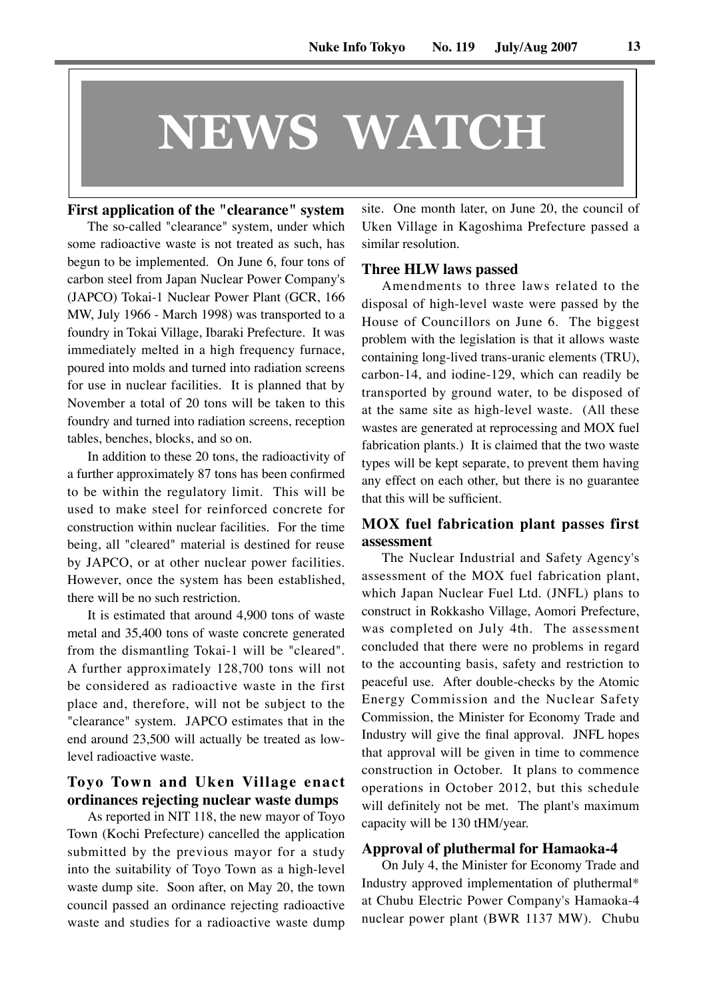# **NEWS WATCH**

# **First application of the "clearance" system** The so-called "clearance" system, under which

some radioactive waste is not treated as such, has begun to be implemented. On June 6, four tons of carbon steel from Japan Nuclear Power Company's (JAPCO) Tokai-1 Nuclear Power Plant (GCR, 166 MW, July 1966 - March 1998) was transported to a foundry in Tokai Village, Ibaraki Prefecture. It was immediately melted in a high frequency furnace, poured into molds and turned into radiation screens for use in nuclear facilities. It is planned that by November a total of 20 tons will be taken to this foundry and turned into radiation screens, reception tables, benches, blocks, and so on.

In addition to these 20 tons, the radioactivity of a further approximately 87 tons has been confirmed to be within the regulatory limit. This will be used to make steel for reinforced concrete for construction within nuclear facilities. For the time being, all "cleared" material is destined for reuse by JAPCO, or at other nuclear power facilities. However, once the system has been established, there will be no such restriction.

It is estimated that around 4,900 tons of waste metal and 35,400 tons of waste concrete generated from the dismantling Tokai-1 will be "cleared". A further approximately 128,700 tons will not be considered as radioactive waste in the first place and, therefore, will not be subject to the "clearance" system. JAPCO estimates that in the end around 23,500 will actually be treated as lowlevel radioactive waste.

# **Toyo Town and Uken Village enact ordinances rejecting nuclear waste dumps**

As reported in NIT 118, the new mayor of Toyo Town (Kochi Prefecture) cancelled the application submitted by the previous mayor for a study into the suitability of Toyo Town as a high-level waste dump site. Soon after, on May 20, the town council passed an ordinance rejecting radioactive waste and studies for a radioactive waste dump

site. One month later, on June 20, the council of Uken Village in Kagoshima Prefecture passed a similar resolution.

# **Three HLW laws passed**

Amendments to three laws related to the disposal of high-level waste were passed by the House of Councillors on June 6. The biggest problem with the legislation is that it allows waste containing long-lived trans-uranic elements (TRU), carbon-14, and iodine-129, which can readily be transported by ground water, to be disposed of at the same site as high-level waste. (All these wastes are generated at reprocessing and MOX fuel fabrication plants.) It is claimed that the two waste types will be kept separate, to prevent them having any effect on each other, but there is no guarantee that this will be sufficient.

# **MOX fuel fabrication plant passes first assessment**

The Nuclear Industrial and Safety Agency's assessment of the MOX fuel fabrication plant, which Japan Nuclear Fuel Ltd. (JNFL) plans to construct in Rokkasho Village, Aomori Prefecture, was completed on July 4th. The assessment concluded that there were no problems in regard to the accounting basis, safety and restriction to peaceful use. After double-checks by the Atomic Energy Commission and the Nuclear Safety Commission, the Minister for Economy Trade and Industry will give the final approval. JNFL hopes that approval will be given in time to commence construction in October. It plans to commence operations in October 2012, but this schedule will definitely not be met. The plant's maximum capacity will be 130 tHM/year.

## **Approval of pluthermal for Hamaoka-4**

On July 4, the Minister for Economy Trade and Industry approved implementation of pluthermal\* at Chubu Electric Power Company's Hamaoka-4 nuclear power plant (BWR 1137 MW). Chubu